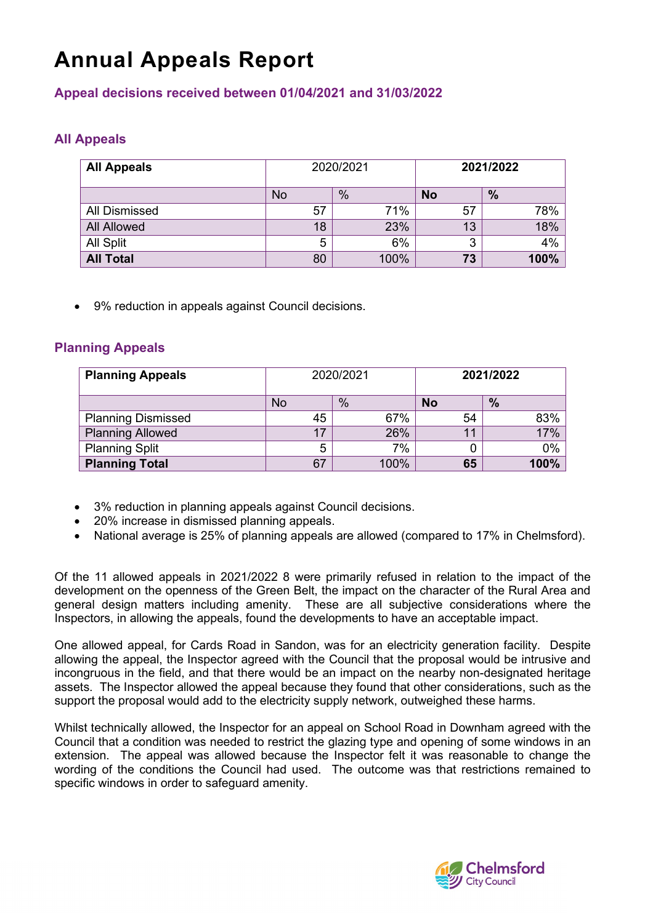# **Annual Appeals Report**

#### **Appeal decisions received between 01/04/2021 and 31/03/2022**

### **All Appeals**

| <b>All Appeals</b>   | 2020/2021 |      | 2021/2022 |      |
|----------------------|-----------|------|-----------|------|
|                      | No        | $\%$ | <b>No</b> | $\%$ |
| <b>All Dismissed</b> | 57        | 71%  | 57        | 78%  |
| <b>All Allowed</b>   | 18        | 23%  | 13        | 18%  |
| All Split            | 5         | 6%   | 3         | 4%   |
| <b>All Total</b>     | 80        | 100% | 73        | 100% |

• 9% reduction in appeals against Council decisions.

#### **Planning Appeals**

| <b>Planning Appeals</b>   | 2020/2021 |      | 2021/2022 |      |
|---------------------------|-----------|------|-----------|------|
|                           | No        | $\%$ | <b>No</b> | $\%$ |
| <b>Planning Dismissed</b> | 45        | 67%  | 54        | 83%  |
| <b>Planning Allowed</b>   | 17        | 26%  | 11        | 17%  |
| <b>Planning Split</b>     | 5         | 7%   |           | 0%   |
| <b>Planning Total</b>     | 67        | 100% | 65        | 100% |

- 3% reduction in planning appeals against Council decisions.
- 20% increase in dismissed planning appeals.
- National average is 25% of planning appeals are allowed (compared to 17% in Chelmsford).

Of the 11 allowed appeals in 2021/2022 8 were primarily refused in relation to the impact of the development on the openness of the Green Belt, the impact on the character of the Rural Area and general design matters including amenity. These are all subjective considerations where the Inspectors, in allowing the appeals, found the developments to have an acceptable impact.

One allowed appeal, for Cards Road in Sandon, was for an electricity generation facility. Despite allowing the appeal, the Inspector agreed with the Council that the proposal would be intrusive and incongruous in the field, and that there would be an impact on the nearby non-designated heritage assets. The Inspector allowed the appeal because they found that other considerations, such as the support the proposal would add to the electricity supply network, outweighed these harms.

Whilst technically allowed, the Inspector for an appeal on School Road in Downham agreed with the Council that a condition was needed to restrict the glazing type and opening of some windows in an extension. The appeal was allowed because the Inspector felt it was reasonable to change the wording of the conditions the Council had used. The outcome was that restrictions remained to specific windows in order to safeguard amenity.

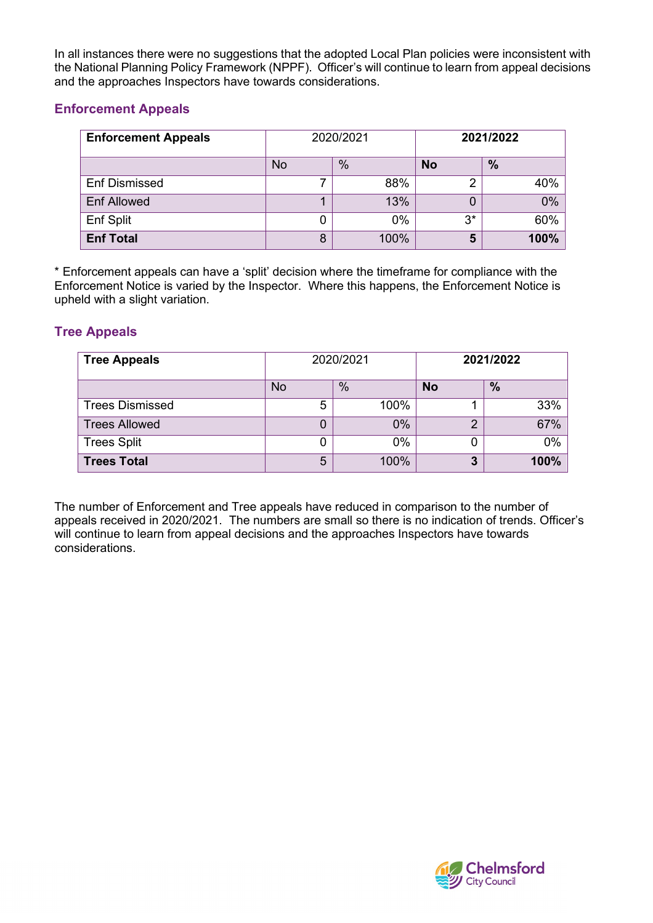In all instances there were no suggestions that the adopted Local Plan policies were inconsistent with the National Planning Policy Framework (NPPF). Officer's will continue to learn from appeal decisions and the approaches Inspectors have towards considerations.

#### **Enforcement Appeals**

| <b>Enforcement Appeals</b> | 2020/2021 |      | 2021/2022 |      |
|----------------------------|-----------|------|-----------|------|
|                            | No        | $\%$ | <b>No</b> | $\%$ |
| <b>Enf Dismissed</b>       |           | 88%  | ╭         | 40%  |
| <b>Enf Allowed</b>         |           | 13%  |           | 0%   |
| Enf Split                  |           | 0%   | 3*        | 60%  |
| <b>Enf Total</b>           | 8         | 100% | 5         | 100% |

\* Enforcement appeals can have a 'split' decision where the timeframe for compliance with the Enforcement Notice is varied by the Inspector. Where this happens, the Enforcement Notice is upheld with a slight variation.

#### **Tree Appeals**

| <b>Tree Appeals</b>    | 2020/2021 |      | 2021/2022 |               |
|------------------------|-----------|------|-----------|---------------|
|                        | No        | %    | <b>No</b> | $\frac{9}{6}$ |
| <b>Trees Dismissed</b> | 5         | 100% |           | 33%           |
| <b>Trees Allowed</b>   | 0         | 0%   | ◠         | 67%           |
| <b>Trees Split</b>     |           | 0%   |           | $0\%$         |
| <b>Trees Total</b>     | 5         | 100% | 3         | 100%          |

The number of Enforcement and Tree appeals have reduced in comparison to the number of appeals received in 2020/2021. The numbers are small so there is no indication of trends. Officer's will continue to learn from appeal decisions and the approaches Inspectors have towards considerations.

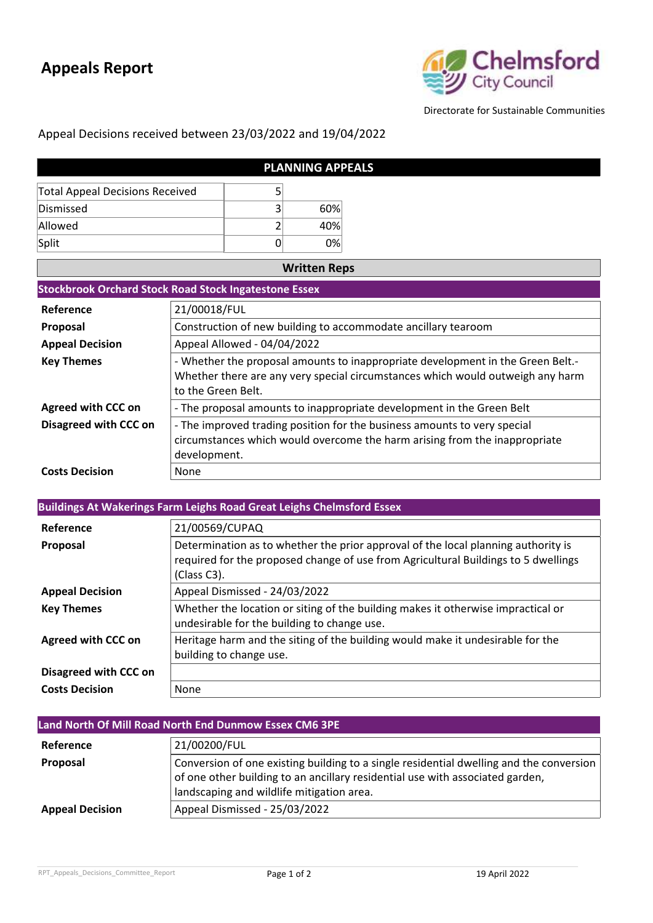## **Appeals Report**



Directorate for Sustainable Communities

### Appeal Decisions received between 23/03/2022 and 19/04/2022

| <b>PLANNING APPEALS</b>                |  |     |
|----------------------------------------|--|-----|
| <b>Total Appeal Decisions Received</b> |  |     |
| Dismissed                              |  | 60% |
| Allowed                                |  | 40% |
| Split                                  |  | 0%  |

| <b>Written Reps</b>       |                                                                                 |  |  |  |
|---------------------------|---------------------------------------------------------------------------------|--|--|--|
|                           | <b>Stockbrook Orchard Stock Road Stock Ingatestone Essex</b>                    |  |  |  |
| Reference                 | 21/00018/FUL                                                                    |  |  |  |
| <b>Proposal</b>           | Construction of new building to accommodate ancillary tearoom                   |  |  |  |
| <b>Appeal Decision</b>    | Appeal Allowed - 04/04/2022                                                     |  |  |  |
| <b>Key Themes</b>         | - Whether the proposal amounts to inappropriate development in the Green Belt.- |  |  |  |
|                           | Whether there are any very special circumstances which would outweigh any harm  |  |  |  |
|                           | to the Green Belt.                                                              |  |  |  |
| <b>Agreed with CCC on</b> | - The proposal amounts to inappropriate development in the Green Belt           |  |  |  |
| Disagreed with CCC on     | - The improved trading position for the business amounts to very special        |  |  |  |
|                           | circumstances which would overcome the harm arising from the inappropriate      |  |  |  |
|                           | development.                                                                    |  |  |  |
| <b>Costs Decision</b>     | None                                                                            |  |  |  |

| <b>Buildings At Wakerings Farm Leighs Road Great Leighs Chelmsford Essex</b> |                                                                                                                                                                                        |  |  |
|------------------------------------------------------------------------------|----------------------------------------------------------------------------------------------------------------------------------------------------------------------------------------|--|--|
| Reference                                                                    | 21/00569/CUPAQ                                                                                                                                                                         |  |  |
| <b>Proposal</b>                                                              | Determination as to whether the prior approval of the local planning authority is<br>required for the proposed change of use from Agricultural Buildings to 5 dwellings<br>(Class C3). |  |  |
| <b>Appeal Decision</b>                                                       | Appeal Dismissed - 24/03/2022                                                                                                                                                          |  |  |
| <b>Key Themes</b>                                                            | Whether the location or siting of the building makes it otherwise impractical or<br>undesirable for the building to change use.                                                        |  |  |
| <b>Agreed with CCC on</b>                                                    | Heritage harm and the siting of the building would make it undesirable for the<br>building to change use.                                                                              |  |  |
| Disagreed with CCC on                                                        |                                                                                                                                                                                        |  |  |
| <b>Costs Decision</b>                                                        | None                                                                                                                                                                                   |  |  |

| Land North Of Mill Road North End Dunmow Essex CM6 3PE |                                                                                                                                                                                                                       |  |
|--------------------------------------------------------|-----------------------------------------------------------------------------------------------------------------------------------------------------------------------------------------------------------------------|--|
| Reference                                              | 21/00200/FUL                                                                                                                                                                                                          |  |
| Proposal                                               | Conversion of one existing building to a single residential dwelling and the conversion<br>of one other building to an ancillary residential use with associated garden,<br>landscaping and wildlife mitigation area. |  |
| <b>Appeal Decision</b>                                 | Appeal Dismissed - 25/03/2022                                                                                                                                                                                         |  |